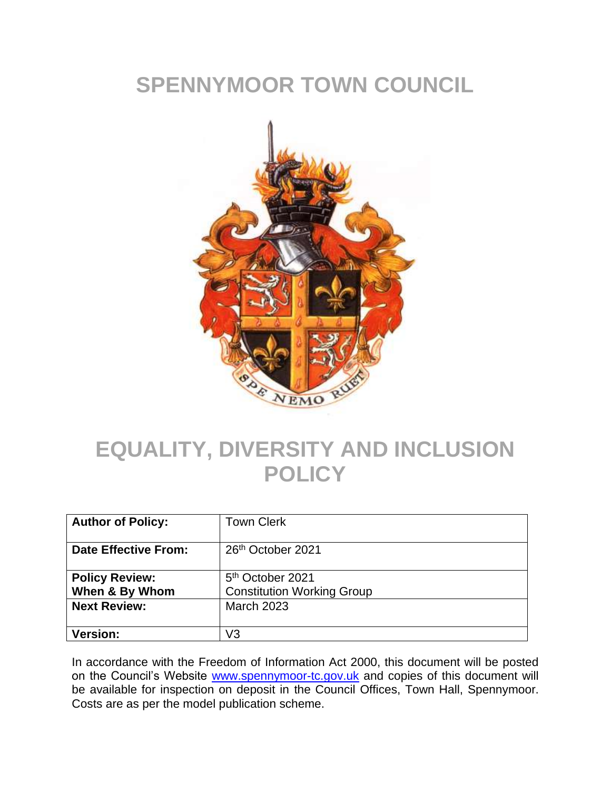# **SPENNYMOOR TOWN COUNCIL**



# **EQUALITY, DIVERSITY AND INCLUSION POLICY**

| <b>Author of Policy:</b>                | <b>Town Clerk</b>                                                 |
|-----------------------------------------|-------------------------------------------------------------------|
| <b>Date Effective From:</b>             | 26 <sup>th</sup> October 2021                                     |
| <b>Policy Review:</b><br>When & By Whom | 5 <sup>th</sup> October 2021<br><b>Constitution Working Group</b> |
| <b>Next Review:</b>                     | <b>March 2023</b>                                                 |
| <b>Version:</b>                         | V3                                                                |

In accordance with the Freedom of Information Act 2000, this document will be posted on the Council's Website [www.spennymoor-tc.gov.uk](http://www.spennymoor-tc.gov.uk/) and copies of this document will be available for inspection on deposit in the Council Offices, Town Hall, Spennymoor. Costs are as per the model publication scheme.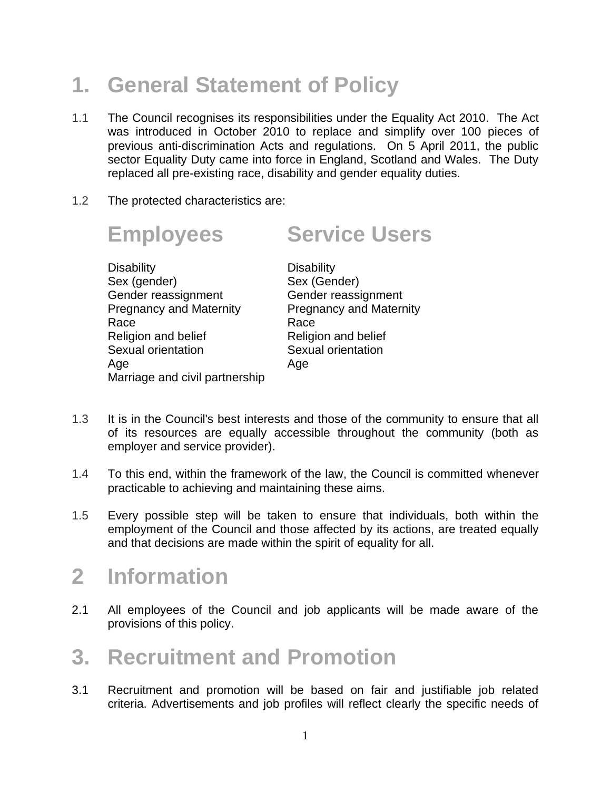# **1. General Statement of Policy**

- 1.1 The Council recognises its responsibilities under the Equality Act 2010. The Act was introduced in October 2010 to replace and simplify over 100 pieces of previous anti-discrimination Acts and regulations. On 5 April 2011, the public sector Equality Duty came into force in England, Scotland and Wales. The Duty replaced all pre-existing race, disability and gender equality duties.
- 1.2 The protected characteristics are:

#### **Employees Service Users** Disability Disability Sex (gender) Sex (Gender) Gender reassignment Gender reassignment Pregnancy and Maternity Pregnancy and Maternity Race Race Race

Religion and belief Religion and belief Sexual orientation Sexual orientation Age Age Marriage and civil partnership

- 1.3 It is in the Council's best interests and those of the community to ensure that all of its resources are equally accessible throughout the community (both as employer and service provider).
- 1.4 To this end, within the framework of the law, the Council is committed whenever practicable to achieving and maintaining these aims.
- 1.5 Every possible step will be taken to ensure that individuals, both within the employment of the Council and those affected by its actions, are treated equally and that decisions are made within the spirit of equality for all.

#### **2 Information**

2.1 All employees of the Council and job applicants will be made aware of the provisions of this policy.

#### **3. Recruitment and Promotion**

3.1 Recruitment and promotion will be based on fair and justifiable job related criteria. Advertisements and job profiles will reflect clearly the specific needs of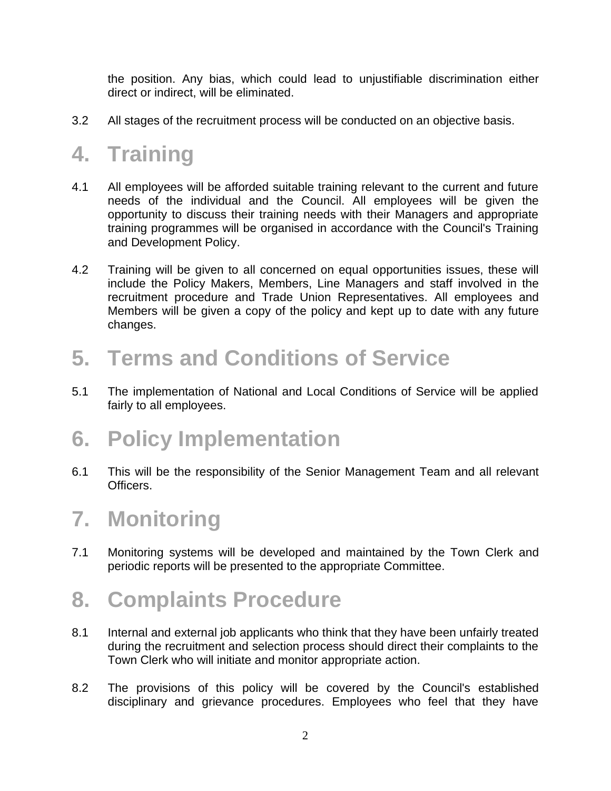the position. Any bias, which could lead to unjustifiable discrimination either direct or indirect, will be eliminated.

3.2 All stages of the recruitment process will be conducted on an objective basis.

## **4. Training**

- 4.1 All employees will be afforded suitable training relevant to the current and future needs of the individual and the Council. All employees will be given the opportunity to discuss their training needs with their Managers and appropriate training programmes will be organised in accordance with the Council's Training and Development Policy.
- 4.2 Training will be given to all concerned on equal opportunities issues, these will include the Policy Makers, Members, Line Managers and staff involved in the recruitment procedure and Trade Union Representatives. All employees and Members will be given a copy of the policy and kept up to date with any future changes.

## **5. Terms and Conditions of Service**

5.1 The implementation of National and Local Conditions of Service will be applied fairly to all employees.

## **6. Policy Implementation**

6.1 This will be the responsibility of the Senior Management Team and all relevant **Officers** 

#### **7. Monitoring**

7.1 Monitoring systems will be developed and maintained by the Town Clerk and periodic reports will be presented to the appropriate Committee.

## **8. Complaints Procedure**

- 8.1 Internal and external job applicants who think that they have been unfairly treated during the recruitment and selection process should direct their complaints to the Town Clerk who will initiate and monitor appropriate action.
- 8.2 The provisions of this policy will be covered by the Council's established disciplinary and grievance procedures. Employees who feel that they have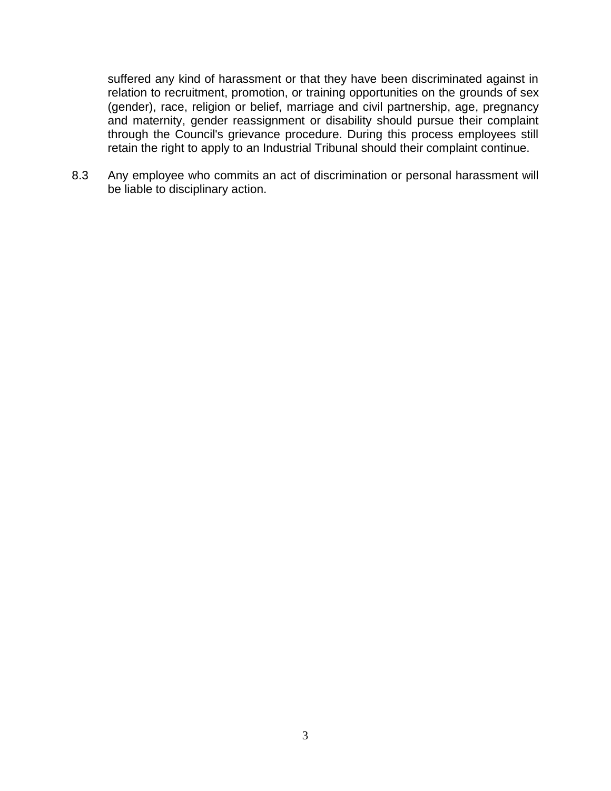suffered any kind of harassment or that they have been discriminated against in relation to recruitment, promotion, or training opportunities on the grounds of sex (gender), race, religion or belief, marriage and civil partnership, age, pregnancy and maternity, gender reassignment or disability should pursue their complaint through the Council's grievance procedure. During this process employees still retain the right to apply to an Industrial Tribunal should their complaint continue.

8.3 Any employee who commits an act of discrimination or personal harassment will be liable to disciplinary action.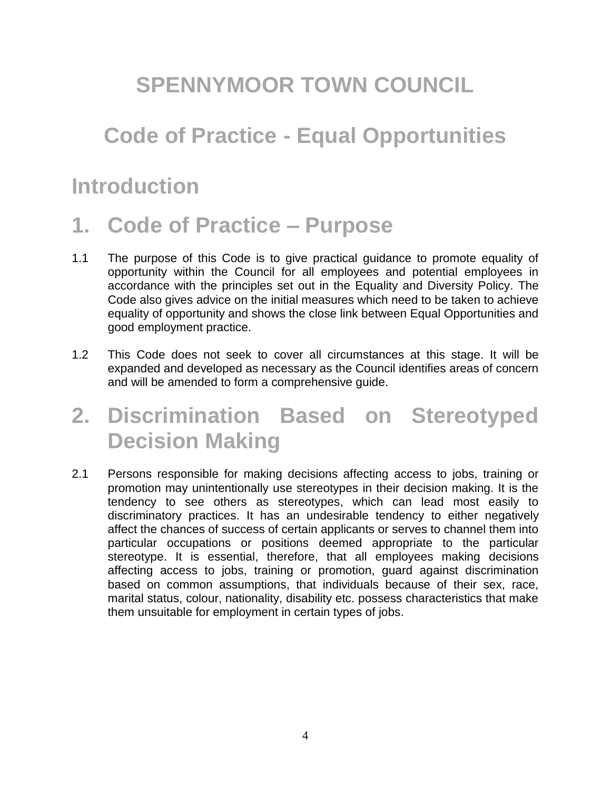## **SPENNYMOOR TOWN COUNCIL**

### **Code of Practice - Equal Opportunities**

#### **Introduction**

#### **1. Code of Practice – Purpose**

- 1.1 The purpose of this Code is to give practical guidance to promote equality of opportunity within the Council for all employees and potential employees in accordance with the principles set out in the Equality and Diversity Policy. The Code also gives advice on the initial measures which need to be taken to achieve equality of opportunity and shows the close link between Equal Opportunities and good employment practice.
- 1.2 This Code does not seek to cover all circumstances at this stage. It will be expanded and developed as necessary as the Council identifies areas of concern and will be amended to form a comprehensive guide.

## **2. Discrimination Based on Stereotyped Decision Making**

2.1 Persons responsible for making decisions affecting access to jobs, training or promotion may unintentionally use stereotypes in their decision making. It is the tendency to see others as stereotypes, which can lead most easily to discriminatory practices. It has an undesirable tendency to either negatively affect the chances of success of certain applicants or serves to channel them into particular occupations or positions deemed appropriate to the particular stereotype. It is essential, therefore, that all employees making decisions affecting access to jobs, training or promotion, guard against discrimination based on common assumptions, that individuals because of their sex, race, marital status, colour, nationality, disability etc. possess characteristics that make them unsuitable for employment in certain types of jobs.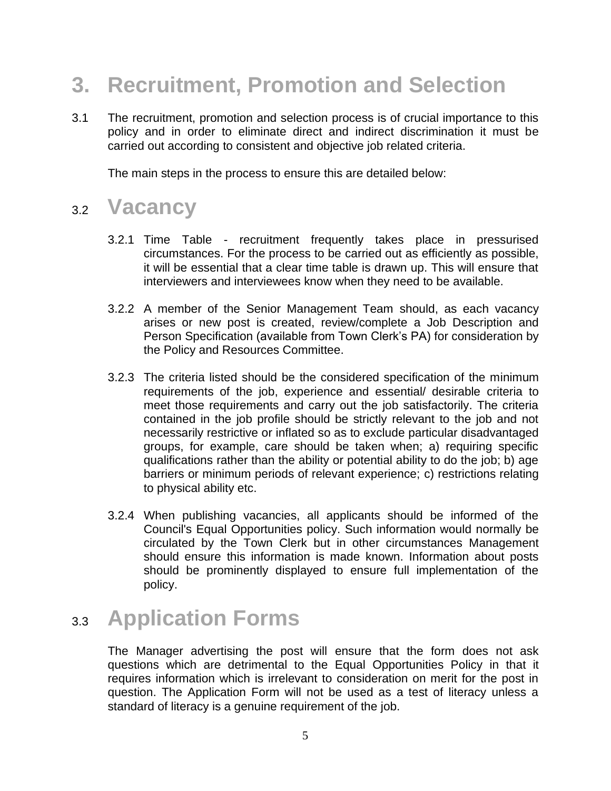# **3. Recruitment, Promotion and Selection**

3.1 The recruitment, promotion and selection process is of crucial importance to this policy and in order to eliminate direct and indirect discrimination it must be carried out according to consistent and objective job related criteria.

The main steps in the process to ensure this are detailed below:

#### 3.2 **Vacancy**

- 3.2.1 Time Table recruitment frequently takes place in pressurised circumstances. For the process to be carried out as efficiently as possible, it will be essential that a clear time table is drawn up. This will ensure that interviewers and interviewees know when they need to be available.
- 3.2.2 A member of the Senior Management Team should, as each vacancy arises or new post is created, review/complete a Job Description and Person Specification (available from Town Clerk's PA) for consideration by the Policy and Resources Committee.
- 3.2.3 The criteria listed should be the considered specification of the minimum requirements of the job, experience and essential/ desirable criteria to meet those requirements and carry out the job satisfactorily. The criteria contained in the job profile should be strictly relevant to the job and not necessarily restrictive or inflated so as to exclude particular disadvantaged groups, for example, care should be taken when; a) requiring specific qualifications rather than the ability or potential ability to do the job; b) age barriers or minimum periods of relevant experience; c) restrictions relating to physical ability etc.
- 3.2.4 When publishing vacancies, all applicants should be informed of the Council's Equal Opportunities policy. Such information would normally be circulated by the Town Clerk but in other circumstances Management should ensure this information is made known. Information about posts should be prominently displayed to ensure full implementation of the policy.

## 3.3 **Application Forms**

The Manager advertising the post will ensure that the form does not ask questions which are detrimental to the Equal Opportunities Policy in that it requires information which is irrelevant to consideration on merit for the post in question. The Application Form will not be used as a test of literacy unless a standard of literacy is a genuine requirement of the job.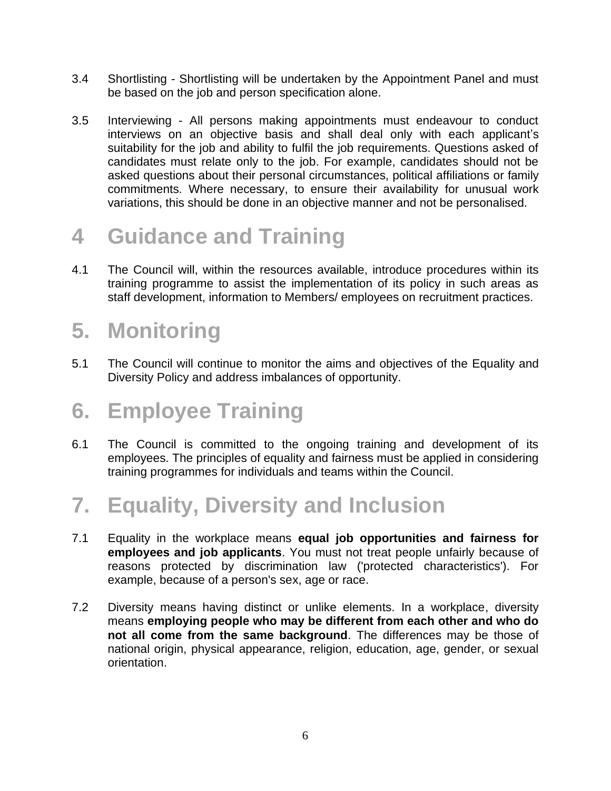- 3.4 Shortlisting Shortlisting will be undertaken by the Appointment Panel and must be based on the job and person specification alone.
- 3.5 Interviewing All persons making appointments must endeavour to conduct interviews on an objective basis and shall deal only with each applicant's suitability for the job and ability to fulfil the job requirements. Questions asked of candidates must relate only to the job. For example, candidates should not be asked questions about their personal circumstances, political affiliations or family commitments. Where necessary, to ensure their availability for unusual work variations, this should be done in an objective manner and not be personalised.

# **4 Guidance and Training**

4.1 The Council will, within the resources available, introduce procedures within its training programme to assist the implementation of its policy in such areas as staff development, information to Members/ employees on recruitment practices.

# **5. Monitoring**

5.1 The Council will continue to monitor the aims and objectives of the Equality and Diversity Policy and address imbalances of opportunity.

# **6. Employee Training**

6.1 The Council is committed to the ongoing training and development of its employees. The principles of equality and fairness must be applied in considering training programmes for individuals and teams within the Council.

## **7. Equality, Diversity and Inclusion**

- 7.1 Equality in the workplace means **equal job opportunities and fairness for employees and job applicants**. You must not treat people unfairly because of reasons protected by discrimination law ('protected characteristics'). For example, because of a person's sex, age or race.
- 7.2 Diversity means having distinct or unlike elements. In a workplace, diversity means **employing people who may be different from each other and who do not all come from the same background**. The differences may be those of national origin, physical appearance, religion, education, age, gender, or sexual orientation.